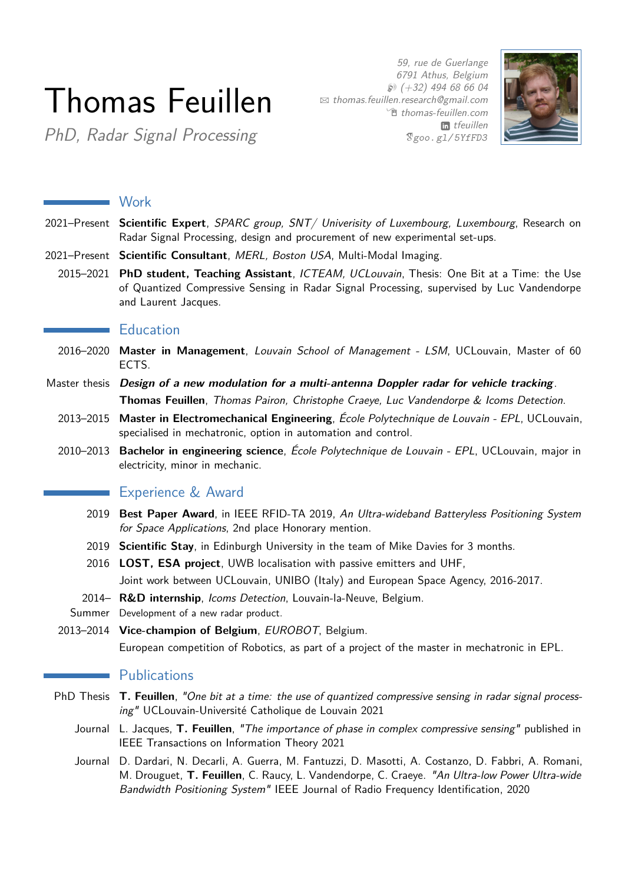# Thomas Feuillen

59, rue de Guerlange 6791 Athus, Belgium  $$*(+32)$  494 68 66 04 B [thomas.feuillen.research@gmail.com](mailto:thomas.feuillen.research@gmail.com) <sup>•</sup> [thomas-feuillen.com](http://thomas-feuillen.com) in [tfeuillen](http://linkedin.com/in/tfeuillen) *[goo. gl/ 5YfFD3](http://goo.gl/5YfFD3)*



PhD, Radar Signal Processing

|           | Work                                                                                                                                                                                                                                                                                          |
|-----------|-----------------------------------------------------------------------------------------------------------------------------------------------------------------------------------------------------------------------------------------------------------------------------------------------|
|           | 2021–Present Scientific Expert, SPARC group, SNT/ Univerisity of Luxembourg, Luxembourg, Research on<br>Radar Signal Processing, design and procurement of new experimental set-ups.                                                                                                          |
|           | 2021–Present Scientific Consultant, MERL, Boston USA, Multi-Modal Imaging.                                                                                                                                                                                                                    |
|           | 2015-2021 PhD student, Teaching Assistant, ICTEAM, UCLouvain, Thesis: One Bit at a Time: the Use<br>of Quantized Compressive Sensing in Radar Signal Processing, supervised by Luc Vandendorpe<br>and Laurent Jacques.                                                                        |
|           | <b>Education</b>                                                                                                                                                                                                                                                                              |
|           | 2016-2020 Master in Management, Louvain School of Management - LSM, UCLouvain, Master of 60<br>ECTS.                                                                                                                                                                                          |
|           | Master thesis Design of a new modulation for a multi-antenna Doppler radar for vehicle tracking.<br>Thomas Feuillen, Thomas Pairon, Christophe Craeye, Luc Vandendorpe & Icoms Detection.                                                                                                     |
| 2013-2015 | Master in Electromechanical Engineering, École Polytechnique de Louvain - EPL, UCLouvain,<br>specialised in mechatronic, option in automation and control.                                                                                                                                    |
|           | 2010-2013 Bachelor in engineering science, École Polytechnique de Louvain - EPL, UCLouvain, major in<br>electricity, minor in mechanic.                                                                                                                                                       |
|           | Experience & Award                                                                                                                                                                                                                                                                            |
| 2019      | Best Paper Award, in IEEE RFID-TA 2019, An Ultra-wideband Batteryless Positioning System<br>for Space Applications, 2nd place Honorary mention.                                                                                                                                               |
|           | 2019 Scientific Stay, in Edinburgh University in the team of Mike Davies for 3 months.                                                                                                                                                                                                        |
|           | 2016 LOST, ESA project, UWB localisation with passive emitters and UHF,                                                                                                                                                                                                                       |
|           | Joint work between UCLouvain, UNIBO (Italy) and European Space Agency, 2016-2017.                                                                                                                                                                                                             |
|           | 2014- R&D internship, Icoms Detection, Louvain-la-Neuve, Belgium.<br>Summer Development of a new radar product.                                                                                                                                                                               |
|           | 2013-2014 Vice-champion of Belgium, EUROBOT, Belgium.                                                                                                                                                                                                                                         |
|           | European competition of Robotics, as part of a project of the master in mechatronic in EPL.                                                                                                                                                                                                   |
|           | <b>Publications</b>                                                                                                                                                                                                                                                                           |
|           | PhD Thesis T. Feuillen, "One bit at a time: the use of quantized compressive sensing in radar signal process-<br>ing" UCLouvain-Université Catholique de Louvain 2021                                                                                                                         |
|           | Journal L. Jacques, T. Feuillen, "The importance of phase in complex compressive sensing" published in<br>IEEE Transactions on Information Theory 2021                                                                                                                                        |
|           | Journal D. Dardari, N. Decarli, A. Guerra, M. Fantuzzi, D. Masotti, A. Costanzo, D. Fabbri, A. Romani,<br>M. Drouguet, T. Feuillen, C. Raucy, L. Vandendorpe, C. Craeye. "An Ultra-low Power Ultra-wide<br>Bandwidth Positioning System" IEEE Journal of Radio Frequency Identification, 2020 |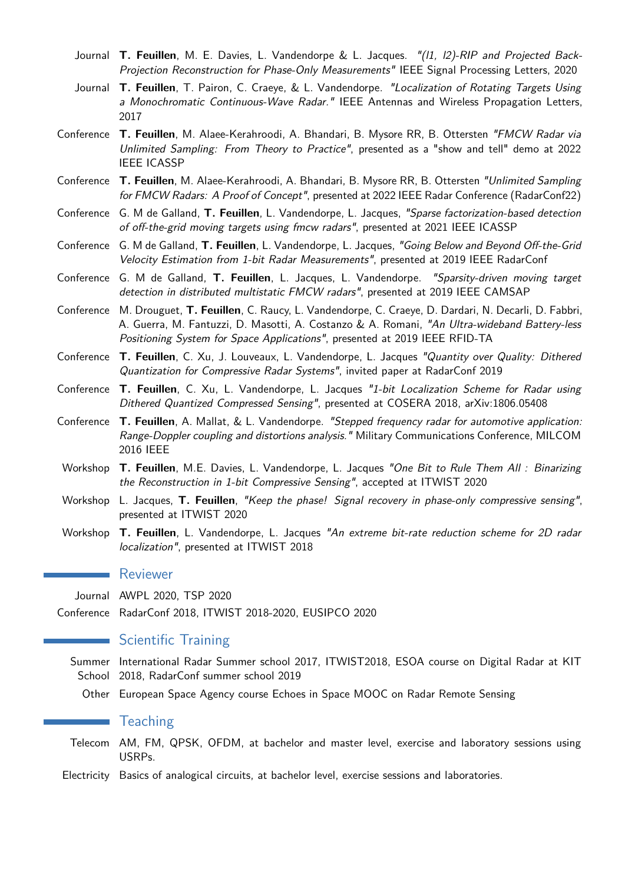- Journal **T. Feuillen**, M. E. Davies, L. Vandendorpe & L. Jacques. "(l1, l2)-RIP and Projected Back-Projection Reconstruction for Phase-Only Measurements" IEEE Signal Processing Letters, 2020
- Journal **T. Feuillen**, T. Pairon, C. Craeye, & L. Vandendorpe. "Localization of Rotating Targets Using a Monochromatic Continuous-Wave Radar." IEEE Antennas and Wireless Propagation Letters, 2017
- Conference **T. Feuillen**, M. Alaee-Kerahroodi, A. Bhandari, B. Mysore RR, B. Ottersten "FMCW Radar via Unlimited Sampling: From Theory to Practice", presented as a "show and tell" demo at 2022 IEEE ICASSP
- Conference **T. Feuillen**, M. Alaee-Kerahroodi, A. Bhandari, B. Mysore RR, B. Ottersten "Unlimited Sampling for FMCW Radars: A Proof of Concept", presented at 2022 IEEE Radar Conference (RadarConf22)
- Conference G. M de Galland, **T. Feuillen**, L. Vandendorpe, L. Jacques, "Sparse factorization-based detection of off-the-grid moving targets using fmcw radars", presented at 2021 IEEE ICASSP
- Conference G. M de Galland, **T. Feuillen**, L. Vandendorpe, L. Jacques, "Going Below and Beyond Off-the-Grid Velocity Estimation from 1-bit Radar Measurements", presented at 2019 IEEE RadarConf
- Conference G. M de Galland, **T. Feuillen**, L. Jacques, L. Vandendorpe. "Sparsity-driven moving target detection in distributed multistatic FMCW radars", presented at 2019 IEEE CAMSAP
- Conference M. Drouguet, **T. Feuillen**, C. Raucy, L. Vandendorpe, C. Craeye, D. Dardari, N. Decarli, D. Fabbri, A. Guerra, M. Fantuzzi, D. Masotti, A. Costanzo & A. Romani, "An Ultra-wideband Battery-less Positioning System for Space Applications", presented at 2019 IEEE RFID-TA
- Conference **T. Feuillen**, C. Xu, J. Louveaux, L. Vandendorpe, L. Jacques "Quantity over Quality: Dithered Quantization for Compressive Radar Systems", invited paper at RadarConf 2019
- Conference **T. Feuillen**, C. Xu, L. Vandendorpe, L. Jacques "1-bit Localization Scheme for Radar using Dithered Quantized Compressed Sensing", presented at COSERA 2018, arXiv:1806.05408
- Conference **T. Feuillen**, A. Mallat, & L. Vandendorpe. "Stepped frequency radar for automotive application: Range-Doppler coupling and distortions analysis." Military Communications Conference, MILCOM 2016 IEEE
- Workshop **T. Feuillen**, M.E. Davies, L. Vandendorpe, L. Jacques "One Bit to Rule Them All : Binarizing the Reconstruction in 1-bit Compressive Sensing", accepted at ITWIST 2020
- Workshop L. Jacques, **T. Feuillen**, "Keep the phase! Signal recovery in phase-only compressive sensing", presented at ITWIST 2020
- Workshop **T. Feuillen**, L. Vandendorpe, L. Jacques "An extreme bit-rate reduction scheme for 2D radar localization", presented at ITWIST 2018

### **Reviewer**

- Journal AWPL 2020, TSP 2020
- Conference RadarConf 2018, ITWIST 2018-2020, EUSIPCO 2020

## Scientific Training

- Summer International Radar Summer school 2017, ITWIST2018, ESOA course on Digital Radar at KIT School 2018, RadarConf summer school 2019
	- Other European Space Agency course Echoes in Space MOOC on Radar Remote Sensing

## $\blacksquare$  Teaching

- Telecom AM, FM, QPSK, OFDM, at bachelor and master level, exercise and laboratory sessions using USRPs.
- Electricity Basics of analogical circuits, at bachelor level, exercise sessions and laboratories.